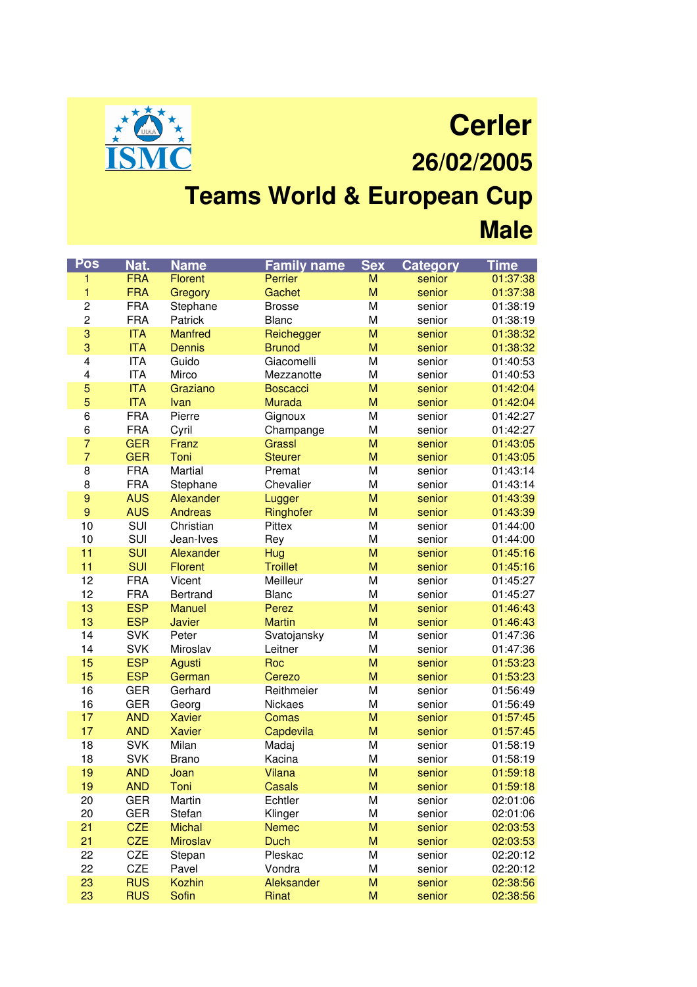

**Cerler 26/02/2005**

## **Teams World & European Cup Male**

| Pos              | Nat.       | <b>Name</b>     | <b>Family name</b> | <b>Sex</b> | <b>Category</b> | <b>Time</b> |
|------------------|------------|-----------------|--------------------|------------|-----------------|-------------|
| 1                | <b>FRA</b> | <b>Florent</b>  | Perrier            | M          | senior          | 01:37:38    |
| 1                | <b>FRA</b> | Gregory         | Gachet             | M          | senior          | 01:37:38    |
| $\overline{c}$   | <b>FRA</b> | Stephane        | <b>Brosse</b>      | M          | senior          | 01:38:19    |
| $\overline{c}$   | <b>FRA</b> | Patrick         | <b>Blanc</b>       | M          | senior          | 01:38:19    |
| 3                | <b>ITA</b> | <b>Manfred</b>  | Reichegger         | M          | senior          | 01:38:32    |
| 3                | <b>ITA</b> | <b>Dennis</b>   | <b>Brunod</b>      | M          | senior          | 01:38:32    |
| 4                | <b>ITA</b> | Guido           | Giacomelli         | M          | senior          | 01:40:53    |
| 4                | <b>ITA</b> | Mirco           | Mezzanotte         | M          | senior          | 01:40:53    |
| 5                | <b>ITA</b> | Graziano        | <b>Boscacci</b>    | M          | senior          | 01:42:04    |
| 5                | <b>ITA</b> | Ivan            | <b>Murada</b>      | M          | senior          | 01:42:04    |
| 6                | <b>FRA</b> | Pierre          | Gignoux            | M          | senior          | 01:42:27    |
| 6                | <b>FRA</b> | Cyril           | Champange          | M          | senior          | 01:42:27    |
| $\overline{7}$   | <b>GER</b> | Franz           | <b>Grassl</b>      | M          | senior          | 01:43:05    |
| $\overline{7}$   | <b>GER</b> | Toni            | <b>Steurer</b>     | M          | senior          | 01:43:05    |
| 8                | <b>FRA</b> | Martial         | Premat             | M          | senior          | 01:43:14    |
| 8                | <b>FRA</b> | Stephane        | Chevalier          | M          | senior          | 01:43:14    |
| $\boldsymbol{9}$ | <b>AUS</b> | Alexander       | Lugger             | M          | senior          | 01:43:39    |
| 9                | <b>AUS</b> | <b>Andreas</b>  | Ringhofer          | M          | senior          | 01:43:39    |
| 10               | SUI        | Christian       | Pittex             | M          | senior          | 01:44:00    |
| 10               | SUI        | Jean-Ives       | Rey                | M          | senior          | 01:44:00    |
| 11               | <b>SUI</b> | Alexander       | Hug                | M          | senior          | 01:45:16    |
| 11               | <b>SUI</b> | <b>Florent</b>  | <b>Troillet</b>    | M          | senior          | 01:45:16    |
| 12               | <b>FRA</b> | Vicent          | Meilleur           | M          | senior          | 01:45:27    |
| 12               | <b>FRA</b> | Bertrand        | <b>Blanc</b>       | M          | senior          | 01:45:27    |
| 13               | <b>ESP</b> | <b>Manuel</b>   | Perez              | M          | senior          | 01:46:43    |
| 13               | <b>ESP</b> | <b>Javier</b>   | <b>Martin</b>      | M          | senior          | 01:46:43    |
| 14               | <b>SVK</b> | Peter           | Svatojansky        | M          | senior          | 01:47:36    |
| 14               | <b>SVK</b> | Miroslav        | Leitner            | M          | senior          | 01:47:36    |
| 15               | <b>ESP</b> | Agusti          | Roc                | M          | senior          | 01:53:23    |
| 15               | <b>ESP</b> | German          | Cerezo             | M          | senior          | 01:53:23    |
| 16               | <b>GER</b> | Gerhard         | Reithmeier         | M          | senior          | 01:56:49    |
| 16               | <b>GER</b> | Georg           | Nickaes            | M          | senior          | 01:56:49    |
| 17               | <b>AND</b> | <b>Xavier</b>   | Comas              | M          | senior          | 01:57:45    |
| 17               | <b>AND</b> | <b>Xavier</b>   | Capdevila          | M          | senior          | 01:57:45    |
| 18               | <b>SVK</b> | Milan           | Madaj              | M          | senior          | 01:58:19    |
| 18               | <b>SVK</b> | <b>Brano</b>    | Kacina             | M          | senior          | 01:58:19    |
| 19               | <b>AND</b> | Joan            | <b>Vilana</b>      | M          | senior          | 01:59:18    |
| 19               | <b>AND</b> | Toni            | Casals             | M          | senior          | 01:59:18    |
| 20               | <b>GER</b> | Martin          | Echtler            | M          | senior          | 02:01:06    |
| 20               | <b>GER</b> | Stefan          | Klinger            | M          | senior          | 02:01:06    |
| 21               | <b>CZE</b> | <b>Michal</b>   | <b>Nemec</b>       | M          | senior          | 02:03:53    |
| 21               | <b>CZE</b> | <b>Miroslav</b> | <b>Duch</b>        | M          | senior          | 02:03:53    |
| 22               | CZE        | Stepan          | Pleskac            | M          | senior          | 02:20:12    |
| 22               | CZE        | Pavel           | Vondra             | M          | senior          | 02:20:12    |
| 23               | <b>RUS</b> | <b>Kozhin</b>   | Aleksander         | M          | senior          | 02:38:56    |
| 23               | <b>RUS</b> | Sofin           | Rinat              | M          | senior          | 02:38:56    |